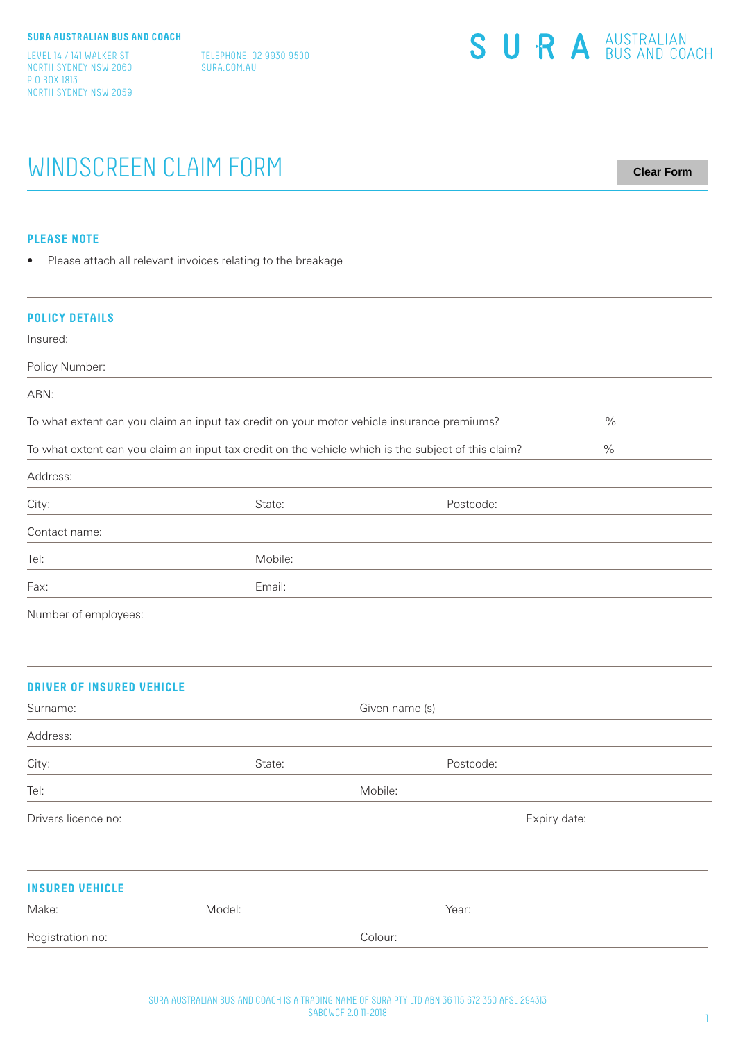LEVEL 14 / 141 WALKER ST NORTH SYDNEY NSW 2060 P O BOX 1813 NORTH SYDNEY NSW 2059

TELEPHONE. 02 9930 9500 SURA.COM.AU

| SURA <sup>AUSTRALIAN</sup> |
|----------------------------|
|                            |

# WINDSCREEN CLAIM FORM

**Clear Form**

## **PLEASE NOTE**

• Please attach all relevant invoices relating to the breakage

| <b>POLICY DETAILS</b>                                                                      |                                                                                                     |                |      |
|--------------------------------------------------------------------------------------------|-----------------------------------------------------------------------------------------------------|----------------|------|
| Insured:                                                                                   |                                                                                                     |                |      |
| Policy Number:                                                                             |                                                                                                     |                |      |
| ABN:                                                                                       |                                                                                                     |                |      |
| To what extent can you claim an input tax credit on your motor vehicle insurance premiums? | $\frac{0}{0}$                                                                                       |                |      |
|                                                                                            | To what extent can you claim an input tax credit on the vehicle which is the subject of this claim? |                | $\%$ |
| Address:                                                                                   |                                                                                                     |                |      |
| City:                                                                                      | State:                                                                                              | Postcode:      |      |
| Contact name:                                                                              |                                                                                                     |                |      |
| Tel:                                                                                       | Mobile:                                                                                             |                |      |
| Fax:                                                                                       | Email:                                                                                              |                |      |
| Number of employees:                                                                       |                                                                                                     |                |      |
|                                                                                            |                                                                                                     |                |      |
| <b>DRIVER OF INSURED VEHICLE</b>                                                           |                                                                                                     |                |      |
| Surname:                                                                                   |                                                                                                     | Given name (s) |      |
| Address:                                                                                   |                                                                                                     |                |      |
| City:                                                                                      | State:                                                                                              | Postcode:      |      |
| Tel:                                                                                       |                                                                                                     | Mobile:        |      |
| Drivers licence no:                                                                        |                                                                                                     | Expiry date:   |      |
|                                                                                            |                                                                                                     |                |      |
| <b>INSURED VEHICLE</b>                                                                     |                                                                                                     |                |      |
|                                                                                            |                                                                                                     |                |      |

| Make:            | Model: |         | Year: |
|------------------|--------|---------|-------|
| Registration no: |        | Colour: |       |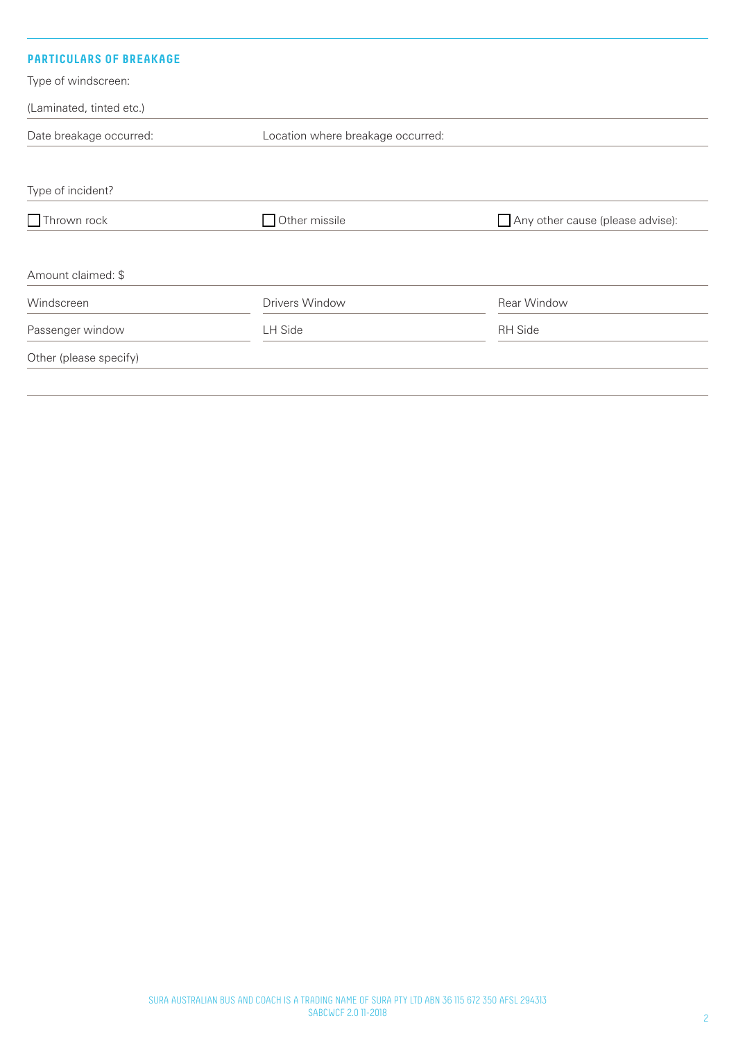| <b>PARTICULARS OF BREAKAGE</b> |                                   |                                         |  |
|--------------------------------|-----------------------------------|-----------------------------------------|--|
| Type of windscreen:            |                                   |                                         |  |
| (Laminated, tinted etc.)       |                                   |                                         |  |
| Date breakage occurred:        | Location where breakage occurred: |                                         |  |
|                                |                                   |                                         |  |
| Type of incident?              |                                   |                                         |  |
| $\Box$ Thrown rock             | Other missile<br>$\mathcal{L}$    | $\Box$ Any other cause (please advise): |  |
| Amount claimed: \$             |                                   |                                         |  |
| Windscreen                     | Drivers Window                    | Rear Window                             |  |
| Passenger window               | <b>LH Side</b>                    | <b>RH</b> Side                          |  |
| Other (please specify)         |                                   |                                         |  |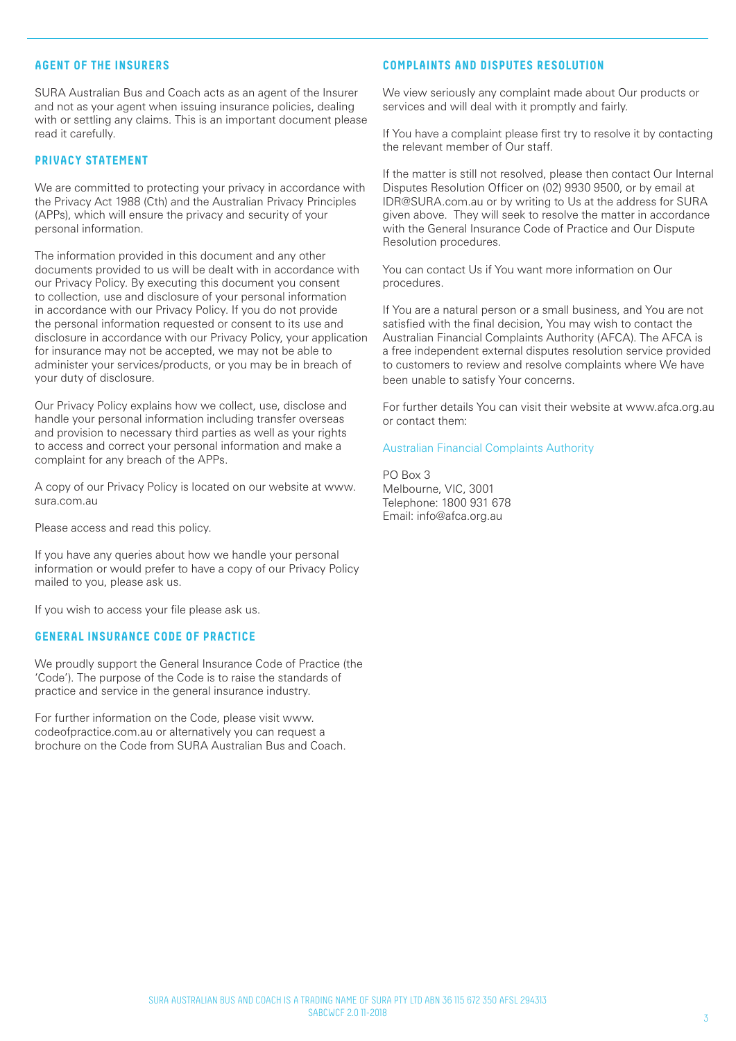# **AGENT OF THE INSURERS**

SURA Australian Bus and Coach acts as an agent of the Insurer and not as your agent when issuing insurance policies, dealing with or settling any claims. This is an important document please read it carefully.

## **PRIVACY STATEMENT**

We are committed to protecting your privacy in accordance with the Privacy Act 1988 (Cth) and the Australian Privacy Principles (APPs), which will ensure the privacy and security of your personal information.

The information provided in this document and any other documents provided to us will be dealt with in accordance with our Privacy Policy. By executing this document you consent to collection, use and disclosure of your personal information in accordance with our Privacy Policy. If you do not provide the personal information requested or consent to its use and disclosure in accordance with our Privacy Policy, your application for insurance may not be accepted, we may not be able to administer your services/products, or you may be in breach of your duty of disclosure.

Our Privacy Policy explains how we collect, use, disclose and handle your personal information including transfer overseas and provision to necessary third parties as well as your rights to access and correct your personal information and make a complaint for any breach of the APPs.

A copy of our Privacy Policy is located on our website at www. sura.com.au

Please access and read this policy.

If you have any queries about how we handle your personal information or would prefer to have a copy of our Privacy Policy mailed to you, please ask us.

If you wish to access your file please ask us.

#### **GENERAL INSURANCE CODE OF PRACTICE**

We proudly support the General Insurance Code of Practice (the 'Code'). The purpose of the Code is to raise the standards of practice and service in the general insurance industry.

For further information on the Code, please visit www. codeofpractice.com.au or alternatively you can request a brochure on the Code from SURA Australian Bus and Coach.

# **COMPLAINTS AND DISPUTES RESOLUTION**

We view seriously any complaint made about Our products or services and will deal with it promptly and fairly.

If You have a complaint please first try to resolve it by contacting the relevant member of Our staff.

If the matter is still not resolved, please then contact Our Internal Disputes Resolution Officer on (02) 9930 9500, or by email at IDR@SURA.com.au or by writing to Us at the address for SURA given above. They will seek to resolve the matter in accordance with the General Insurance Code of Practice and Our Dispute Resolution procedures.

You can contact Us if You want more information on Our procedures.

If You are a natural person or a small business, and You are not satisfied with the final decision, You may wish to contact the Australian Financial Complaints Authority (AFCA). The AFCA is a free independent external disputes resolution service provided to customers to review and resolve complaints where We have been unable to satisfy Your concerns.

For further details You can visit their website at www.afca.org.au or contact them:

## Australian Financial Complaints Authority

PO Box 3 Melbourne, VIC, 3001 Telephone: 1800 931 678 Email: info@afca.org.au